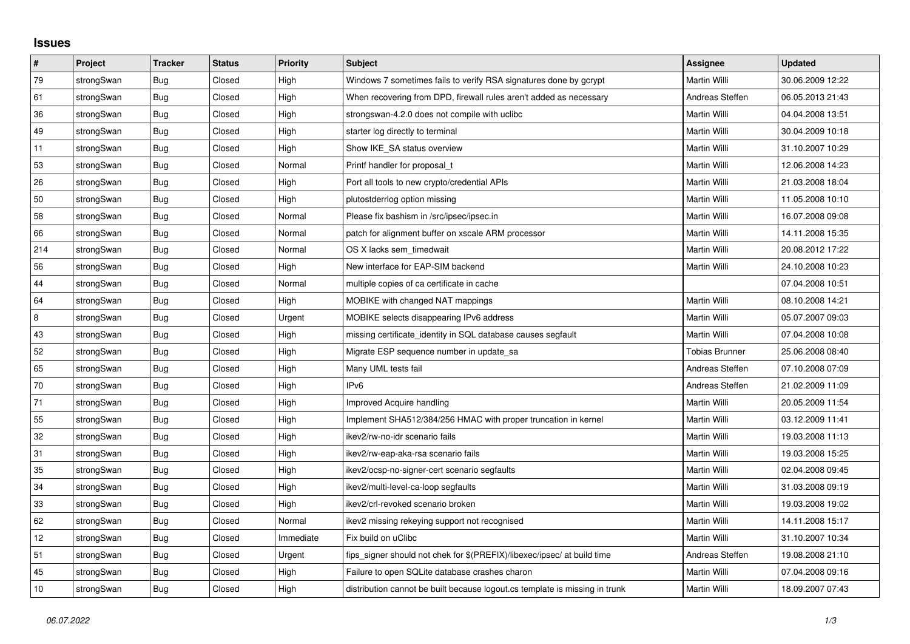## **Issues**

| #              | Project    | <b>Tracker</b> | <b>Status</b> | <b>Priority</b> | <b>Subject</b>                                                              | <b>Assignee</b>       | <b>Updated</b>   |
|----------------|------------|----------------|---------------|-----------------|-----------------------------------------------------------------------------|-----------------------|------------------|
| 79             | strongSwan | <b>Bug</b>     | Closed        | High            | Windows 7 sometimes fails to verify RSA signatures done by gcrypt           | Martin Willi          | 30.06.2009 12:22 |
| 61             | strongSwan | Bug            | Closed        | High            | When recovering from DPD, firewall rules aren't added as necessary          | Andreas Steffen       | 06.05.2013 21:43 |
| $36\,$         | strongSwan | Bug            | Closed        | High            | strongswan-4.2.0 does not compile with uclibe                               | Martin Willi          | 04.04.2008 13:51 |
| 49             | strongSwan | Bug            | Closed        | High            | starter log directly to terminal                                            | Martin Willi          | 30.04.2009 10:18 |
| 11             | strongSwan | Bug            | Closed        | High            | Show IKE SA status overview                                                 | Martin Willi          | 31.10.2007 10:29 |
| 53             | strongSwan | <b>Bug</b>     | Closed        | Normal          | Printf handler for proposal t                                               | Martin Willi          | 12.06.2008 14:23 |
| 26             | strongSwan | Bug            | Closed        | High            | Port all tools to new crypto/credential APIs                                | Martin Willi          | 21.03.2008 18:04 |
| 50             | strongSwan | Bug            | Closed        | High            | plutostderrlog option missing                                               | Martin Willi          | 11.05.2008 10:10 |
| 58             | strongSwan | Bug            | Closed        | Normal          | Please fix bashism in /src/ipsec/ipsec.in                                   | Martin Willi          | 16.07.2008 09:08 |
| 66             | strongSwan | Bug            | Closed        | Normal          | patch for alignment buffer on xscale ARM processor                          | Martin Willi          | 14.11.2008 15:35 |
| 214            | strongSwan | Bug            | Closed        | Normal          | OS X lacks sem timedwait                                                    | Martin Willi          | 20.08.2012 17:22 |
| 56             | strongSwan | Bug            | Closed        | High            | New interface for EAP-SIM backend                                           | Martin Willi          | 24.10.2008 10:23 |
| 44             | strongSwan | Bug            | Closed        | Normal          | multiple copies of ca certificate in cache                                  |                       | 07.04.2008 10:51 |
| 64             | strongSwan | Bug            | Closed        | High            | MOBIKE with changed NAT mappings                                            | Martin Willi          | 08.10.2008 14:21 |
| $\overline{8}$ | strongSwan | Bug            | Closed        | Urgent          | MOBIKE selects disappearing IPv6 address                                    | Martin Willi          | 05.07.2007 09:03 |
| 43             | strongSwan | Bug            | Closed        | High            | missing certificate identity in SQL database causes segfault                | Martin Willi          | 07.04.2008 10:08 |
| 52             | strongSwan | <b>Bug</b>     | Closed        | High            | Migrate ESP sequence number in update_sa                                    | <b>Tobias Brunner</b> | 25.06.2008 08:40 |
| 65             | strongSwan | Bug            | Closed        | High            | Many UML tests fail                                                         | Andreas Steffen       | 07.10.2008 07:09 |
| 70             | strongSwan | Bug            | Closed        | High            | IP <sub>v6</sub>                                                            | Andreas Steffen       | 21.02.2009 11:09 |
| 71             | strongSwan | <b>Bug</b>     | Closed        | High            | Improved Acquire handling                                                   | Martin Willi          | 20.05.2009 11:54 |
| 55             | strongSwan | Bug            | Closed        | High            | Implement SHA512/384/256 HMAC with proper truncation in kernel              | Martin Willi          | 03.12.2009 11:41 |
| 32             | strongSwan | Bug            | Closed        | High            | ikev2/rw-no-idr scenario fails                                              | Martin Willi          | 19.03.2008 11:13 |
| 31             | strongSwan | Bug            | Closed        | High            | ikev2/rw-eap-aka-rsa scenario fails                                         | Martin Willi          | 19.03.2008 15:25 |
| 35             | strongSwan | Bug            | Closed        | High            | ikev2/ocsp-no-signer-cert scenario segfaults                                | Martin Willi          | 02.04.2008 09:45 |
| 34             | strongSwan | Bug            | Closed        | High            | ikev2/multi-level-ca-loop segfaults                                         | Martin Willi          | 31.03.2008 09:19 |
| 33             | strongSwan | Bug            | Closed        | High            | ikev2/crl-revoked scenario broken                                           | Martin Willi          | 19.03.2008 19:02 |
| 62             | strongSwan | Bug            | Closed        | Normal          | ikev2 missing rekeying support not recognised                               | Martin Willi          | 14.11.2008 15:17 |
| 12             | strongSwan | Bug            | Closed        | Immediate       | Fix build on uClibc                                                         | Martin Willi          | 31.10.2007 10:34 |
| 51             | strongSwan | Bug            | Closed        | Urgent          | fips_signer should not chek for \$(PREFIX)/libexec/ipsec/ at build time     | Andreas Steffen       | 19.08.2008 21:10 |
| 45             | strongSwan | Bug            | Closed        | High            | Failure to open SQLite database crashes charon                              | Martin Willi          | 07.04.2008 09:16 |
| 10             | strongSwan | Bug            | Closed        | High            | distribution cannot be built because logout.cs template is missing in trunk | Martin Willi          | 18.09.2007 07:43 |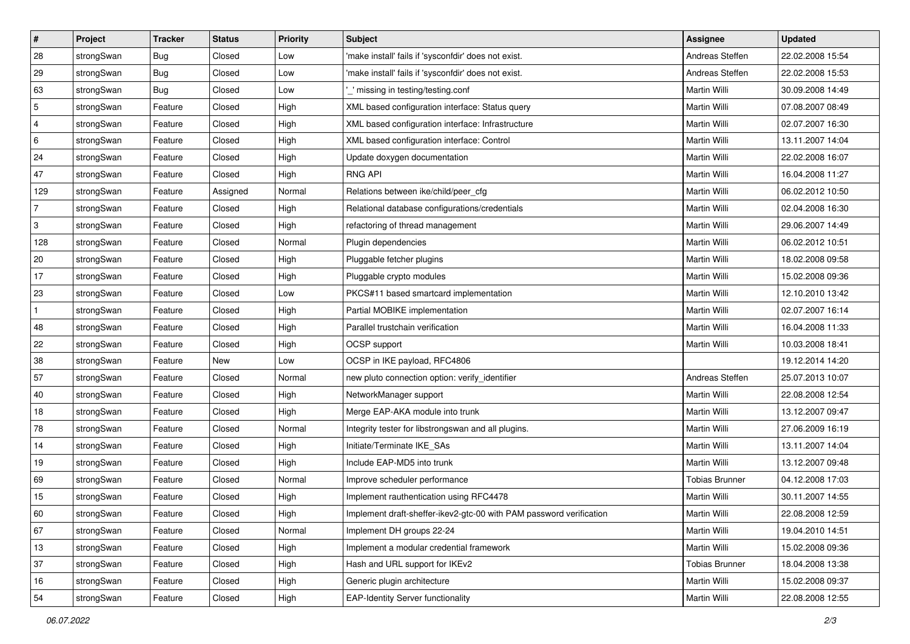| #              | Project    | <b>Tracker</b> | <b>Status</b> | <b>Priority</b> | <b>Subject</b>                                                      | <b>Assignee</b>       | <b>Updated</b>   |
|----------------|------------|----------------|---------------|-----------------|---------------------------------------------------------------------|-----------------------|------------------|
| 28             | strongSwan | <b>Bug</b>     | Closed        | Low             | 'make install' fails if 'sysconfdir' does not exist.                | Andreas Steffen       | 22.02.2008 15:54 |
| 29             | strongSwan | Bug            | Closed        | Low             | 'make install' fails if 'sysconfdir' does not exist.                | Andreas Steffen       | 22.02.2008 15:53 |
| 63             | strongSwan | Bug            | Closed        | Low             | missing in testing/testing.conf                                     | <b>Martin Willi</b>   | 30.09.2008 14:49 |
| 5              | strongSwan | Feature        | Closed        | High            | XML based configuration interface: Status query                     | Martin Willi          | 07.08.2007 08:49 |
| 4              | strongSwan | Feature        | Closed        | High            | XML based configuration interface: Infrastructure                   | Martin Willi          | 02.07.2007 16:30 |
| 6              | strongSwan | Feature        | Closed        | High            | XML based configuration interface: Control                          | Martin Willi          | 13.11.2007 14:04 |
| 24             | strongSwan | Feature        | Closed        | High            | Update doxygen documentation                                        | Martin Willi          | 22.02.2008 16:07 |
| 47             | strongSwan | Feature        | Closed        | High            | <b>RNG API</b>                                                      | Martin Willi          | 16.04.2008 11:27 |
| 129            | strongSwan | Feature        | Assigned      | Normal          | Relations between ike/child/peer cfg                                | Martin Willi          | 06.02.2012 10:50 |
| $\overline{7}$ | strongSwan | Feature        | Closed        | High            | Relational database configurations/credentials                      | <b>Martin Willi</b>   | 02.04.2008 16:30 |
| 3              | strongSwan | Feature        | Closed        | High            | refactoring of thread management                                    | Martin Willi          | 29.06.2007 14:49 |
| 128            | strongSwan | Feature        | Closed        | Normal          | Plugin dependencies                                                 | Martin Willi          | 06.02.2012 10:51 |
| 20             | strongSwan | Feature        | Closed        | High            | Pluggable fetcher plugins                                           | <b>Martin Willi</b>   | 18.02.2008 09:58 |
| 17             | strongSwan | Feature        | Closed        | High            | Pluggable crypto modules                                            | Martin Willi          | 15.02.2008 09:36 |
| 23             | strongSwan | Feature        | Closed        | Low             | PKCS#11 based smartcard implementation                              | <b>Martin Willi</b>   | 12.10.2010 13:42 |
| $\mathbf{1}$   | strongSwan | Feature        | Closed        | High            | Partial MOBIKE implementation                                       | Martin Willi          | 02.07.2007 16:14 |
| 48             | strongSwan | Feature        | Closed        | High            | Parallel trustchain verification                                    | Martin Willi          | 16.04.2008 11:33 |
| 22             | strongSwan | Feature        | Closed        | High            | OCSP support                                                        | <b>Martin Willi</b>   | 10.03.2008 18:41 |
| 38             | strongSwan | Feature        | New           | Low             | OCSP in IKE payload, RFC4806                                        |                       | 19.12.2014 14:20 |
| 57             | strongSwan | Feature        | Closed        | Normal          | new pluto connection option: verify_identifier                      | Andreas Steffen       | 25.07.2013 10:07 |
| 40             | strongSwan | Feature        | Closed        | High            | NetworkManager support                                              | <b>Martin Willi</b>   | 22.08.2008 12:54 |
| 18             | strongSwan | Feature        | Closed        | High            | Merge EAP-AKA module into trunk                                     | Martin Willi          | 13.12.2007 09:47 |
| 78             | strongSwan | Feature        | Closed        | Normal          | Integrity tester for libstrongswan and all plugins.                 | <b>Martin Willi</b>   | 27.06.2009 16:19 |
| 14             | strongSwan | Feature        | Closed        | High            | Initiate/Terminate IKE_SAs                                          | Martin Willi          | 13.11.2007 14:04 |
| 19             | strongSwan | Feature        | Closed        | High            | Include EAP-MD5 into trunk                                          | Martin Willi          | 13.12.2007 09:48 |
| 69             | strongSwan | Feature        | Closed        | Normal          | Improve scheduler performance                                       | <b>Tobias Brunner</b> | 04.12.2008 17:03 |
| 15             | strongSwan | Feature        | Closed        | High            | Implement rauthentication using RFC4478                             | Martin Willi          | 30.11.2007 14:55 |
| 60             | strongSwan | Feature        | Closed        | High            | Implement draft-sheffer-ikev2-gtc-00 with PAM password verification | Martin Willi          | 22.08.2008 12:59 |
| 67             | strongSwan | Feature        | Closed        | Normal          | Implement DH groups 22-24                                           | Martin Willi          | 19.04.2010 14:51 |
| 13             | strongSwan | Feature        | Closed        | High            | Implement a modular credential framework                            | Martin Willi          | 15.02.2008 09:36 |
| 37             | strongSwan | Feature        | Closed        | High            | Hash and URL support for IKEv2                                      | <b>Tobias Brunner</b> | 18.04.2008 13:38 |
| 16             | strongSwan | Feature        | Closed        | High            | Generic plugin architecture                                         | Martin Willi          | 15.02.2008 09:37 |
| 54             | strongSwan | Feature        | Closed        | High            | <b>EAP-Identity Server functionality</b>                            | Martin Willi          | 22.08.2008 12:55 |